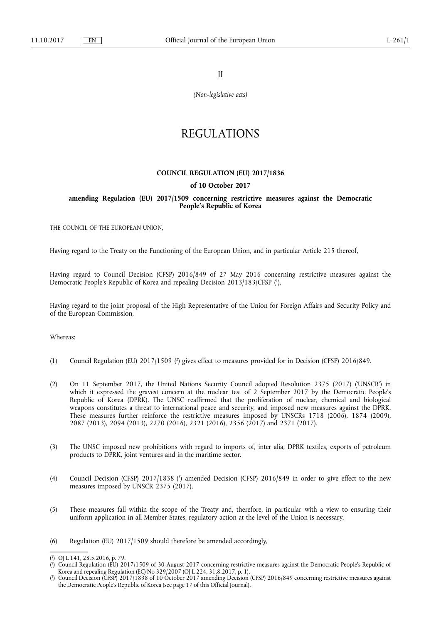II

*(Non-legislative acts)* 

# REGULATIONS

### **COUNCIL REGULATION (EU) 2017/1836**

#### **of 10 October 2017**

### **amending Regulation (EU) 2017/1509 concerning restrictive measures against the Democratic People's Republic of Korea**

THE COUNCIL OF THE EUROPEAN UNION,

Having regard to the Treaty on the Functioning of the European Union, and in particular Article 215 thereof,

Having regard to Council Decision (CFSP) 2016/849 of 27 May 2016 concerning restrictive measures against the Democratic People's Republic of Korea and repealing Decision 2013/183/CFSP ( 1 ),

Having regard to the joint proposal of the High Representative of the Union for Foreign Affairs and Security Policy and of the European Commission,

Whereas:

- (1) Council Regulation (EU) 2017/1509 ( 2 ) gives effect to measures provided for in Decision (CFSP) 2016/849.
- (2) On 11 September 2017, the United Nations Security Council adopted Resolution 2375 (2017) ('UNSCR') in which it expressed the gravest concern at the nuclear test of 2 September 2017 by the Democratic People's Republic of Korea (DPRK). The UNSC reaffirmed that the proliferation of nuclear, chemical and biological weapons constitutes a threat to international peace and security, and imposed new measures against the DPRK. These measures further reinforce the restrictive measures imposed by UNSCRs 1718 (2006), 1874 (2009), 2087 (2013), 2094 (2013), 2270 (2016), 2321 (2016), 2356 (2017) and 2371 (2017).
- (3) The UNSC imposed new prohibitions with regard to imports of, inter alia, DPRK textiles, exports of petroleum products to DPRK, joint ventures and in the maritime sector.
- (4) Council Decision (CFSP) 2017/1838 ( 3 ) amended Decision (CFSP) 2016/849 in order to give effect to the new measures imposed by UNSCR 2375 (2017).
- (5) These measures fall within the scope of the Treaty and, therefore, in particular with a view to ensuring their uniform application in all Member States, regulatory action at the level of the Union is necessary.
- (6) Regulation (EU) 2017/1509 should therefore be amended accordingly,

<sup>(</sup> 1 ) OJ L 141, 28.5.2016, p. 79.

<sup>(</sup> 2 ) Council Regulation (EU) 2017/1509 of 30 August 2017 concerning restrictive measures against the Democratic People's Republic of Korea and repealing Regulation (EC) No 329/2007 (OJ L 224, 31.8.2017, p. 1).

<sup>(</sup> 3 ) Council Decision (CFSP) 2017/1838 of 10 October 2017 amending Decision (CFSP) 2016/849 concerning restrictive measures against the Democratic People's Republic of Korea (see page 17 of this Official Journal).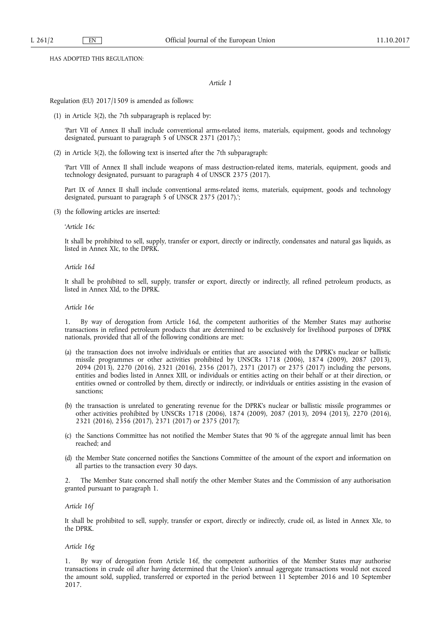HAS ADOPTED THIS REGULATION:

#### *Article 1*

Regulation (EU) 2017/1509 is amended as follows:

(1) in Article 3(2), the 7th subparagraph is replaced by:

'Part VII of Annex II shall include conventional arms-related items, materials, equipment, goods and technology designated, pursuant to paragraph 5 of UNSCR 2371 (2017).';

(2) in Article 3(2), the following text is inserted after the 7th subparagraph:

'Part VIII of Annex II shall include weapons of mass destruction-related items, materials, equipment, goods and technology designated, pursuant to paragraph 4 of UNSCR 2375 (2017).

Part IX of Annex II shall include conventional arms-related items, materials, equipment, goods and technology designated, pursuant to paragraph 5 of UNSCR 2375 (2017).';

(3) the following articles are inserted:

#### '*Article 16c*

It shall be prohibited to sell, supply, transfer or export, directly or indirectly, condensates and natural gas liquids, as listed in Annex XIc, to the DPRK.

#### *Article 16d*

It shall be prohibited to sell, supply, transfer or export, directly or indirectly, all refined petroleum products, as listed in Annex XId, to the DPRK.

#### *Article 16e*

1. By way of derogation from Article 16d, the competent authorities of the Member States may authorise transactions in refined petroleum products that are determined to be exclusively for livelihood purposes of DPRK nationals, provided that all of the following conditions are met:

- (a) the transaction does not involve individuals or entities that are associated with the DPRK's nuclear or ballistic missile programmes or other activities prohibited by UNSCRs 1718 (2006), 1874 (2009), 2087 (2013), 2094 (2013), 2270 (2016), 2321 (2016), 2356 (2017), 2371 (2017) or 2375 (2017) including the persons, entities and bodies listed in Annex XIII, or individuals or entities acting on their behalf or at their direction, or entities owned or controlled by them, directly or indirectly, or individuals or entities assisting in the evasion of sanctions;
- (b) the transaction is unrelated to generating revenue for the DPRK's nuclear or ballistic missile programmes or other activities prohibited by UNSCRs 1718 (2006), 1874 (2009), 2087 (2013), 2094 (2013), 2270 (2016), 2321 (2016), 2356 (2017), 2371 (2017) or 2375 (2017);
- (c) the Sanctions Committee has not notified the Member States that 90 % of the aggregate annual limit has been reached; and
- (d) the Member State concerned notifies the Sanctions Committee of the amount of the export and information on all parties to the transaction every 30 days.

The Member State concerned shall notify the other Member States and the Commission of any authorisation granted pursuant to paragraph 1.

#### *Article 16f*

It shall be prohibited to sell, supply, transfer or export, directly or indirectly, crude oil, as listed in Annex XIe, to the DPRK.

#### *Article 16g*

1. By way of derogation from Article 16f, the competent authorities of the Member States may authorise transactions in crude oil after having determined that the Union's annual aggregate transactions would not exceed the amount sold, supplied, transferred or exported in the period between 11 September 2016 and 10 September 2017.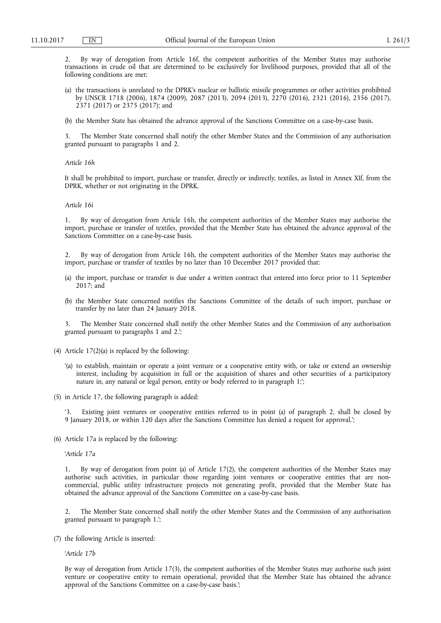2. By way of derogation from Article 16f, the competent authorities of the Member States may authorise transactions in crude oil that are determined to be exclusively for livelihood purposes, provided that all of the following conditions are met:

- (a) the transactions is unrelated to the DPRK's nuclear or ballistic missile programmes or other activities prohibited by UNSCR 1718 (2006), 1874 (2009), 2087 (2013), 2094 (2013), 2270 (2016), 2321 (2016), 2356 (2017), 2371 (2017) or 2375 (2017); and
- (b) the Member State has obtained the advance approval of the Sanctions Committee on a case-by-case basis.

The Member State concerned shall notify the other Member States and the Commission of any authorisation granted pursuant to paragraphs 1 and 2.

#### *Article 16h*

It shall be prohibited to import, purchase or transfer, directly or indirectly, textiles, as listed in Annex XIf, from the DPRK, whether or not originating in the DPRK.

#### *Article 16i*

1. By way of derogation from Article 16h, the competent authorities of the Member States may authorise the import, purchase or transfer of textiles, provided that the Member State has obtained the advance approval of the Sanctions Committee on a case-by-case basis.

2. By way of derogation from Article 16h, the competent authorities of the Member States may authorise the import, purchase or transfer of textiles by no later than 10 December 2017 provided that:

- (a) the import, purchase or transfer is due under a written contract that entered into force prior to 11 September 2017; and
- (b) the Member State concerned notifies the Sanctions Committee of the details of such import, purchase or transfer by no later than 24 January 2018.

3. The Member State concerned shall notify the other Member States and the Commission of any authorisation granted pursuant to paragraphs 1 and 2.';

- (4) Article 17(2)(a) is replaced by the following:
	- '(a) to establish, maintain or operate a joint venture or a cooperative entity with, or take or extend an ownership interest, including by acquisition in full or the acquisition of shares and other securities of a participatory nature in, any natural or legal person, entity or body referred to in paragraph 1;';
- (5) in Article 17, the following paragraph is added:

Existing joint ventures or cooperative entities referred to in point (a) of paragraph 2, shall be closed by 9 January 2018, or within 120 days after the Sanctions Committee has denied a request for approval.';

(6) Article 17a is replaced by the following:

'*Article 17a* 

1. By way of derogation from point (a) of Article 17(2), the competent authorities of the Member States may authorise such activities, in particular those regarding joint ventures or cooperative entities that are noncommercial, public utility infrastructure projects not generating profit, provided that the Member State has obtained the advance approval of the Sanctions Committee on a case-by-case basis.

2. The Member State concerned shall notify the other Member States and the Commission of any authorisation granted pursuant to paragraph 1.';

(7) the following Article is inserted:

'*Article 17b* 

By way of derogation from Article 17(3), the competent authorities of the Member States may authorise such joint venture or cooperative entity to remain operational, provided that the Member State has obtained the advance approval of the Sanctions Committee on a case-by-case basis.';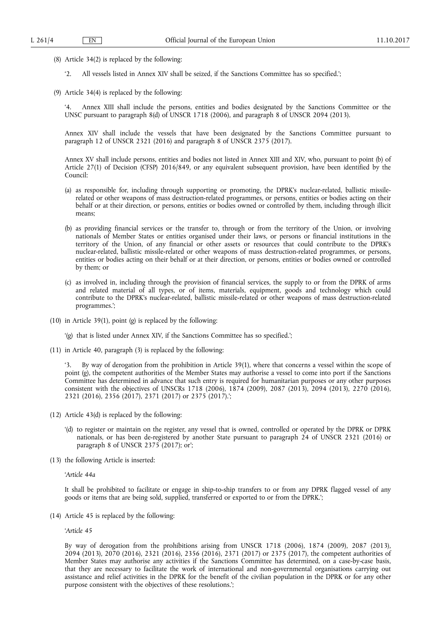- (8) Article 34(2) is replaced by the following:
	- '2. All vessels listed in Annex XIV shall be seized, if the Sanctions Committee has so specified.';
- (9) Article 34(4) is replaced by the following:

'4. Annex XIII shall include the persons, entities and bodies designated by the Sanctions Committee or the UNSC pursuant to paragraph 8(d) of UNSCR 1718 (2006), and paragraph 8 of UNSCR 2094 (2013).

Annex XIV shall include the vessels that have been designated by the Sanctions Committee pursuant to paragraph 12 of UNSCR 2321 (2016) and paragraph 8 of UNSCR 2375 (2017).

Annex XV shall include persons, entities and bodies not listed in Annex XIII and XIV, who, pursuant to point (b) of Article 27(1) of Decision (CFSP) 2016/849, or any equivalent subsequent provision, have been identified by the Council:

- (a) as responsible for, including through supporting or promoting, the DPRK's nuclear-related, ballistic missilerelated or other weapons of mass destruction-related programmes, or persons, entities or bodies acting on their behalf or at their direction, or persons, entities or bodies owned or controlled by them, including through illicit means;
- (b) as providing financial services or the transfer to, through or from the territory of the Union, or involving nationals of Member States or entities organised under their laws, or persons or financial institutions in the territory of the Union, of any financial or other assets or resources that could contribute to the DPRK's nuclear-related, ballistic missile-related or other weapons of mass destruction-related programmes, or persons, entities or bodies acting on their behalf or at their direction, or persons, entities or bodies owned or controlled by them; or
- (c) as involved in, including through the provision of financial services, the supply to or from the DPRK of arms and related material of all types, or of items, materials, equipment, goods and technology which could contribute to the DPRK's nuclear-related, ballistic missile-related or other weapons of mass destruction-related programmes.';
- (10) in Article 39(1), point (g) is replaced by the following:

'(g) that is listed under Annex XIV, if the Sanctions Committee has so specified.';

(11) in Article 40, paragraph (3) is replaced by the following:

By way of derogation from the prohibition in Article 39(1), where that concerns a vessel within the scope of point (g), the competent authorities of the Member States may authorise a vessel to come into port if the Sanctions Committee has determined in advance that such entry is required for humanitarian purposes or any other purposes consistent with the objectives of UNSCRs 1718 (2006), 1874 (2009), 2087 (2013), 2094 (2013), 2270 (2016), 2321 (2016), 2356 (2017), 2371 (2017) or 2375 (2017).';

- (12) Article 43(d) is replaced by the following:
	- '(d) to register or maintain on the register, any vessel that is owned, controlled or operated by the DPRK or DPRK nationals, or has been de-registered by another State pursuant to paragraph 24 of UNSCR 2321 (2016) or paragraph 8 of UNSCR 2375 (2017); or';
- (13) the following Article is inserted:

'*Article 44a* 

It shall be prohibited to facilitate or engage in ship-to-ship transfers to or from any DPRK flagged vessel of any goods or items that are being sold, supplied, transferred or exported to or from the DPRK.';

(14) Article 45 is replaced by the following:

'*Article 45* 

By way of derogation from the prohibitions arising from UNSCR 1718 (2006), 1874 (2009), 2087 (2013), 2094 (2013), 2070 (2016), 2321 (2016), 2356 (2016), 2371 (2017) or 2375 (2017), the competent authorities of Member States may authorise any activities if the Sanctions Committee has determined, on a case-by-case basis, that they are necessary to facilitate the work of international and non-governmental organisations carrying out assistance and relief activities in the DPRK for the benefit of the civilian population in the DPRK or for any other purpose consistent with the objectives of these resolutions.';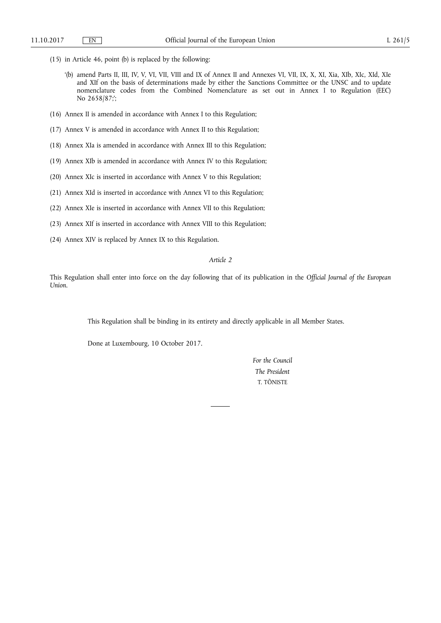- (15) in Article 46, point (b) is replaced by the following:
	- '(b) amend Parts II, III, IV, V, VI, VII, VIII and IX of Annex II and Annexes VI, VII, IX, X, XI, Xia, XIb, XIc, XId, XIe and XIf on the basis of determinations made by either the Sanctions Committee or the UNSC and to update nomenclature codes from the Combined Nomenclature as set out in Annex I to Regulation (EEC) No 2658/87;';
- (16) Annex II is amended in accordance with Annex I to this Regulation;
- (17) Annex V is amended in accordance with Annex II to this Regulation;
- (18) Annex XIa is amended in accordance with Annex III to this Regulation;
- (19) Annex XIb is amended in accordance with Annex IV to this Regulation;
- (20) Annex XIc is inserted in accordance with Annex V to this Regulation;
- (21) Annex XId is inserted in accordance with Annex VI to this Regulation;
- (22) Annex XIe is inserted in accordance with Annex VII to this Regulation;
- (23) Annex XIf is inserted in accordance with Annex VIII to this Regulation;
- (24) Annex XIV is replaced by Annex IX to this Regulation.

# *Article 2*

This Regulation shall enter into force on the day following that of its publication in the *Official Journal of the European Union*.

This Regulation shall be binding in its entirety and directly applicable in all Member States.

Done at Luxembourg, 10 October 2017.

*For the Council The President*  T. TÕNISTE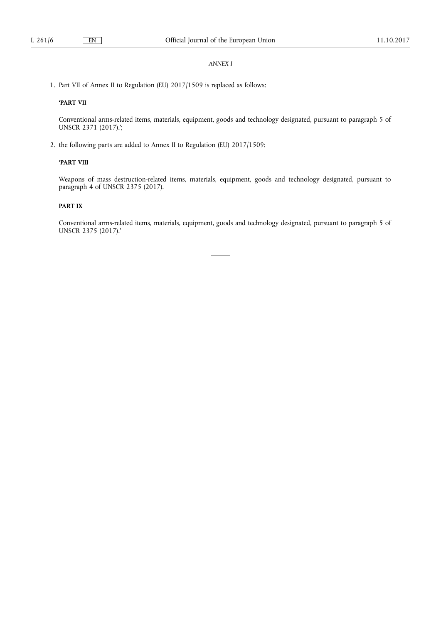# *ANNEX I*

1. Part VII of Annex II to Regulation (EU) 2017/1509 is replaced as follows:

# **'PART VII**

Conventional arms-related items, materials, equipment, goods and technology designated, pursuant to paragraph 5 of UNSCR 2371 (2017).';

2. the following parts are added to Annex II to Regulation (EU) 2017/1509:

### **'PART VIII**

Weapons of mass destruction-related items, materials, equipment, goods and technology designated, pursuant to paragraph 4 of UNSCR 2375 (2017).

# **PART IX**

Conventional arms-related items, materials, equipment, goods and technology designated, pursuant to paragraph 5 of UNSCR 2375 (2017).'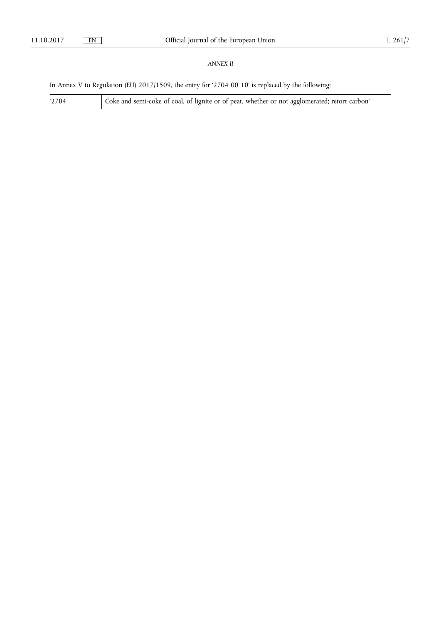# *ANNEX II*

In Annex V to Regulation (EU) 2017/1509, the entry for '2704 00 10' is replaced by the following:

'2704 Coke and semi-coke of coal, of lignite or of peat, whether or not agglomerated; retort carbon'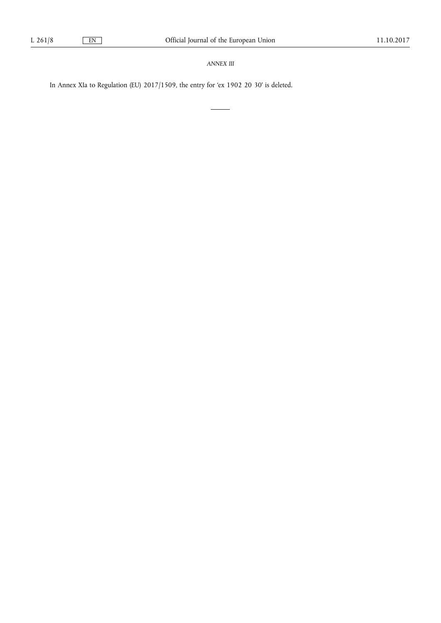*ANNEX III* 

J.

 $\overline{\phantom{a}}$ 

In Annex XIa to Regulation (EU) 2017/1509, the entry for 'ex 1902 20 30' is deleted.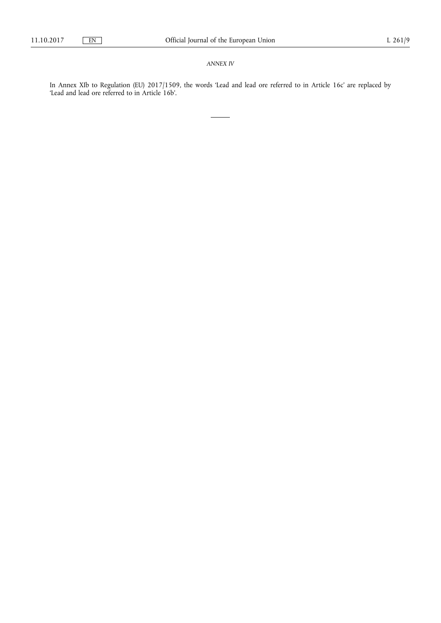# *ANNEX IV*

In Annex XIb to Regulation (EU) 2017/1509, the words 'Lead and lead ore referred to in Article 16c' are replaced by 'Lead and lead ore referred to in Article 16b'.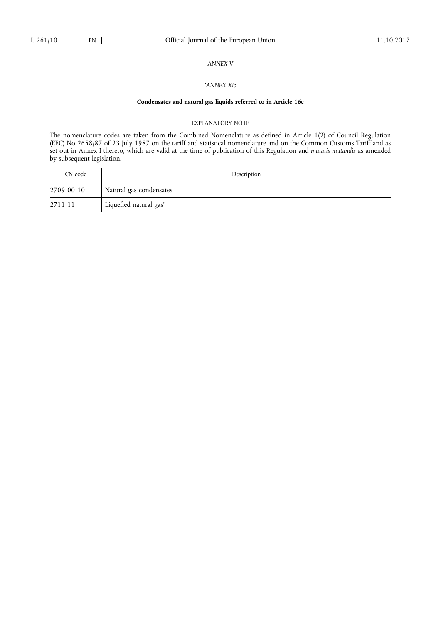# *ANNEX V*

### '*ANNEX XIc*

# **Condensates and natural gas liquids referred to in Article 16c**

#### EXPLANATORY NOTE

The nomenclature codes are taken from the Combined Nomenclature as defined in Article 1(2) of Council Regulation (EEC) No 2658/87 of 23 July 1987 on the tariff and statistical nomenclature and on the Common Customs Tariff and as set out in Annex I thereto, which are valid at the time of publication of this Regulation and *mutatis mutandis* as amended by subsequent legislation.

| CN code    | Description             |
|------------|-------------------------|
| 2709 00 10 | Natural gas condensates |
| 2711 11    | Liquefied natural gas'  |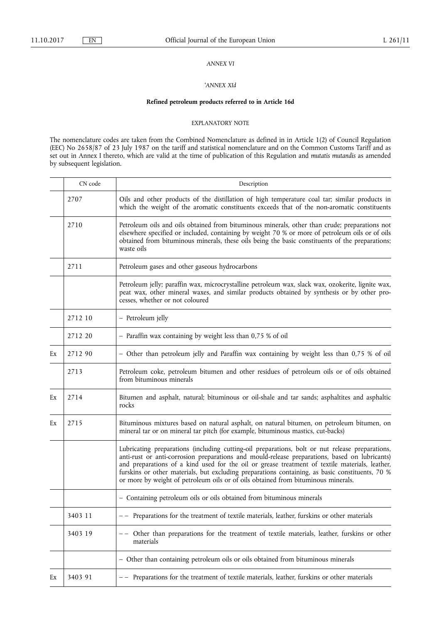# *ANNEX VI*

### '*ANNEX XId*

# **Refined petroleum products referred to in Article 16d**

#### EXPLANATORY NOTE

The nomenclature codes are taken from the Combined Nomenclature as defined in in Article 1(2) of Council Regulation (EEC) No 2658/87 of 23 July 1987 on the tariff and statistical nomenclature and on the Common Customs Tariff and as set out in Annex I thereto, which are valid at the time of publication of this Regulation and *mutatis mutandis* as amended by subsequent legislation.

|    | CN code | Description                                                                                                                                                                                                                                                                                                                                                                                                                                                                                |
|----|---------|--------------------------------------------------------------------------------------------------------------------------------------------------------------------------------------------------------------------------------------------------------------------------------------------------------------------------------------------------------------------------------------------------------------------------------------------------------------------------------------------|
|    | 2707    | Oils and other products of the distillation of high temperature coal tar; similar products in<br>which the weight of the aromatic constituents exceeds that of the non-aromatic constituents                                                                                                                                                                                                                                                                                               |
|    | 2710    | Petroleum oils and oils obtained from bituminous minerals, other than crude; preparations not<br>elsewhere specified or included, containing by weight 70 % or more of petroleum oils or of oils<br>obtained from bituminous minerals, these oils being the basic constituents of the preparations;<br>waste oils                                                                                                                                                                          |
|    | 2711    | Petroleum gases and other gaseous hydrocarbons                                                                                                                                                                                                                                                                                                                                                                                                                                             |
|    |         | Petroleum jelly; paraffin wax, microcrystalline petroleum wax, slack wax, ozokerite, lignite wax,<br>peat wax, other mineral waxes, and similar products obtained by synthesis or by other pro-<br>cesses, whether or not coloured                                                                                                                                                                                                                                                         |
|    | 2712 10 | - Petroleum jelly                                                                                                                                                                                                                                                                                                                                                                                                                                                                          |
|    | 2712 20 | - Paraffin wax containing by weight less than 0,75 % of oil                                                                                                                                                                                                                                                                                                                                                                                                                                |
| Ex | 2712 90 | - Other than petroleum jelly and Paraffin wax containing by weight less than 0,75 % of oil                                                                                                                                                                                                                                                                                                                                                                                                 |
|    | 2713    | Petroleum coke, petroleum bitumen and other residues of petroleum oils or of oils obtained<br>from bituminous minerals                                                                                                                                                                                                                                                                                                                                                                     |
| Ex | 2714    | Bitumen and asphalt, natural; bituminous or oil-shale and tar sands; asphaltites and asphaltic<br>rocks                                                                                                                                                                                                                                                                                                                                                                                    |
| Ex | 2715    | Bituminous mixtures based on natural asphalt, on natural bitumen, on petroleum bitumen, on<br>mineral tar or on mineral tar pitch (for example, bituminous mastics, cut-backs)                                                                                                                                                                                                                                                                                                             |
|    |         | Lubricating preparations (including cutting-oil preparations, bolt or nut release preparations,<br>anti-rust or anti-corrosion preparations and mould-release preparations, based on lubricants)<br>and preparations of a kind used for the oil or grease treatment of textile materials, leather,<br>furskins or other materials, but excluding preparations containing, as basic constituents, 70 %<br>or more by weight of petroleum oils or of oils obtained from bituminous minerals. |
|    |         | - Containing petroleum oils or oils obtained from bituminous minerals                                                                                                                                                                                                                                                                                                                                                                                                                      |
|    | 3403 11 | -- Preparations for the treatment of textile materials, leather, furskins or other materials                                                                                                                                                                                                                                                                                                                                                                                               |
|    | 3403 19 | Other than preparations for the treatment of textile materials, leather, furskins or other<br>materials                                                                                                                                                                                                                                                                                                                                                                                    |
|    |         | - Other than containing petroleum oils or oils obtained from bituminous minerals                                                                                                                                                                                                                                                                                                                                                                                                           |
| Ex | 3403 91 | -- Preparations for the treatment of textile materials, leather, furskins or other materials                                                                                                                                                                                                                                                                                                                                                                                               |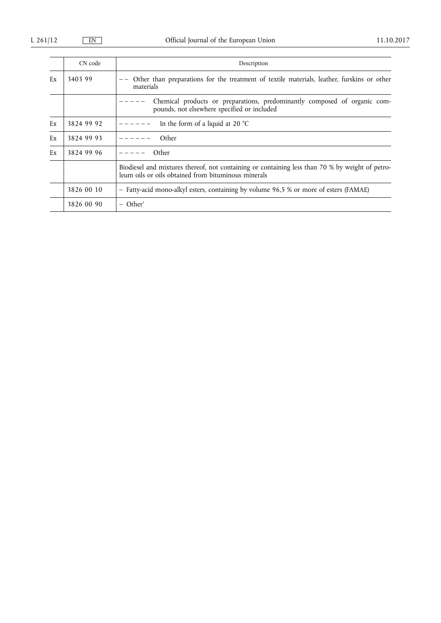|    | CN code    | Description                                                                                                                                            |
|----|------------|--------------------------------------------------------------------------------------------------------------------------------------------------------|
| Ex | 3403 99    | Other than preparations for the treatment of textile materials, leather, furskins or other<br>materials                                                |
|    |            | Chemical products or preparations, predominantly composed of organic com-<br>pounds, not elsewhere specified or included                               |
| Ex | 3824 99 92 | In the form of a liquid at 20 $^{\circ}$ C                                                                                                             |
| Ex | 3824 99 93 | Other                                                                                                                                                  |
| Ex | 3824 99 96 | Other                                                                                                                                                  |
|    |            | Biodiesel and mixtures thereof, not containing or containing less than 70 % by weight of petro-<br>leum oils or oils obtained from bituminous minerals |
|    | 3826 00 10 | - Fatty-acid mono-alkyl esters, containing by volume 96,5 % or more of esters (FAMAE)                                                                  |
|    | 3826 00 90 | – Other'                                                                                                                                               |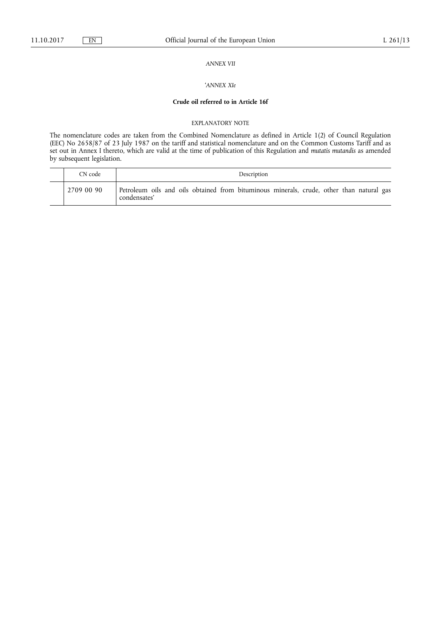# *ANNEX VII*

### '*ANNEX XIe*

### **Crude oil referred to in Article 16f**

#### EXPLANATORY NOTE

The nomenclature codes are taken from the Combined Nomenclature as defined in Article 1(2) of Council Regulation (EEC) No 2658/87 of 23 July 1987 on the tariff and statistical nomenclature and on the Common Customs Tariff and as set out in Annex I thereto, which are valid at the time of publication of this Regulation and *mutatis mutandis* as amended by subsequent legislation.

| CN code    | Description                                                                                              |
|------------|----------------------------------------------------------------------------------------------------------|
| 2709 00 90 | Petroleum oils and oils obtained from bituminous minerals, crude, other than natural gas<br>condensates' |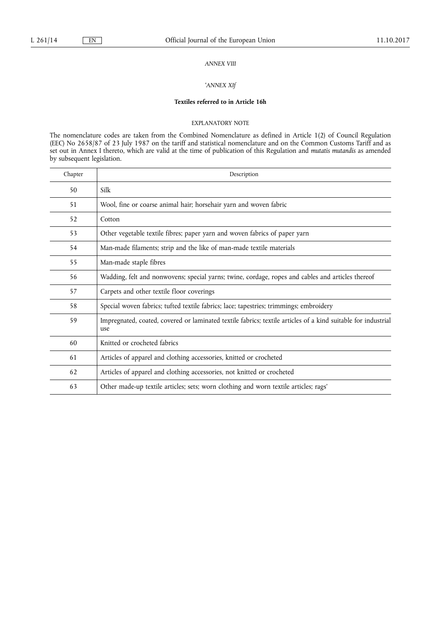# *ANNEX VIII*

### '*ANNEX XIf*

# **Textiles referred to in Article 16h**

#### EXPLANATORY NOTE

The nomenclature codes are taken from the Combined Nomenclature as defined in Article 1(2) of Council Regulation (EEC) No 2658/87 of 23 July 1987 on the tariff and statistical nomenclature and on the Common Customs Tariff and as set out in Annex I thereto, which are valid at the time of publication of this Regulation and *mutatis mutandis* as amended by subsequent legislation.

| Chapter | Description                                                                                                          |
|---------|----------------------------------------------------------------------------------------------------------------------|
| 50      | Silk                                                                                                                 |
| 51      | Wool, fine or coarse animal hair; horsehair yarn and woven fabric                                                    |
| 52      | Cotton                                                                                                               |
| 53      | Other vegetable textile fibres; paper yarn and woven fabrics of paper yarn                                           |
| 54      | Man-made filaments; strip and the like of man-made textile materials                                                 |
| 55      | Man-made staple fibres                                                                                               |
| 56      | Wadding, felt and nonwovens; special yarns; twine, cordage, ropes and cables and articles thereof                    |
| 57      | Carpets and other textile floor coverings                                                                            |
| 58      | Special woven fabrics; tufted textile fabrics; lace; tapestries; trimmings; embroidery                               |
| 59      | Impregnated, coated, covered or laminated textile fabrics; textile articles of a kind suitable for industrial<br>use |
| 60      | Knitted or crocheted fabrics                                                                                         |
| 61      | Articles of apparel and clothing accessories, knitted or crocheted                                                   |
| 62      | Articles of apparel and clothing accessories, not knitted or crocheted                                               |
| 63      | Other made-up textile articles; sets; worn clothing and worn textile articles; rags'                                 |